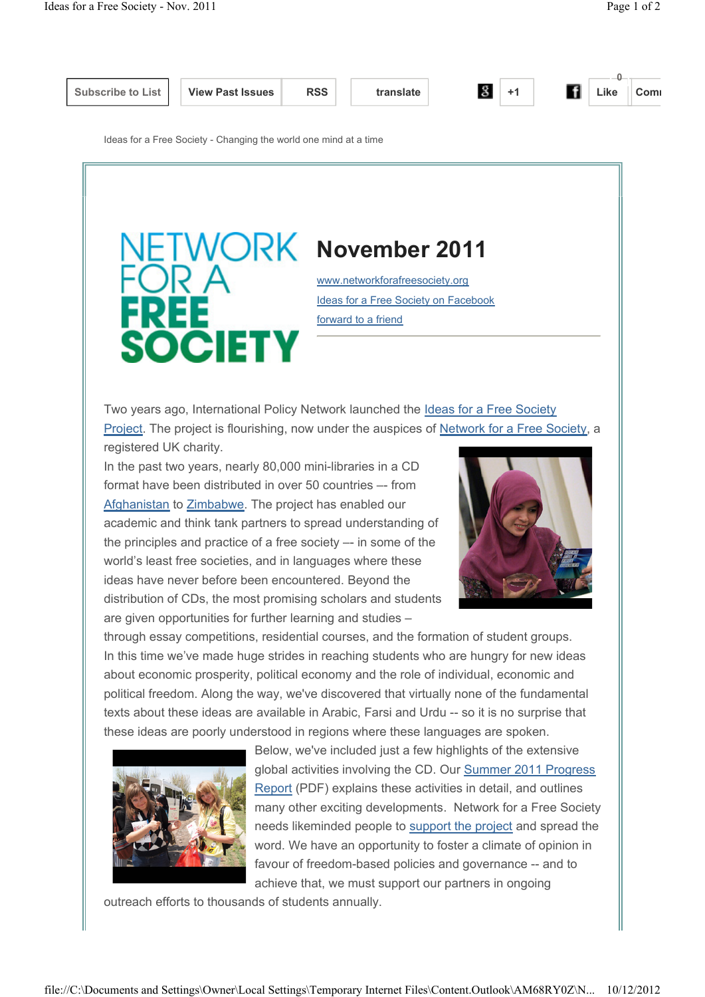

**0**

Ideas for a Free Society - Changing the world one mind at a time

## **NETWORK November 2011** REF **SOCIETY**

www.networkforafreesociety.org Ideas for a Free Society on Facebook forward to a friend

Two years ago, International Policy Network launched the Ideas for a Free Society Project. The project is flourishing, now under the auspices of Network for a Free Society, a registered UK charity.

In the past two years, nearly 80,000 mini-libraries in a CD format have been distributed in over 50 countries –- from Afghanistan to Zimbabwe. The project has enabled our academic and think tank partners to spread understanding of the principles and practice of a free society –- in some of the world's least free societies, and in languages where these ideas have never before been encountered. Beyond the distribution of CDs, the most promising scholars and students are given opportunities for further learning and studies –



through essay competitions, residential courses, and the formation of student groups. In this time we've made huge strides in reaching students who are hungry for new ideas about economic prosperity, political economy and the role of individual, economic and political freedom. Along the way, we've discovered that virtually none of the fundamental texts about these ideas are available in Arabic, Farsi and Urdu -- so it is no surprise that these ideas are poorly understood in regions where these languages are spoken.



Below, we've included just a few highlights of the extensive global activities involving the CD. Our Summer 2011 Progress Report (PDF) explains these activities in detail, and outlines many other exciting developments. Network for a Free Society needs likeminded people to support the project and spread the word. We have an opportunity to foster a climate of opinion in favour of freedom-based policies and governance -- and to achieve that, we must support our partners in ongoing

outreach efforts to thousands of students annually.